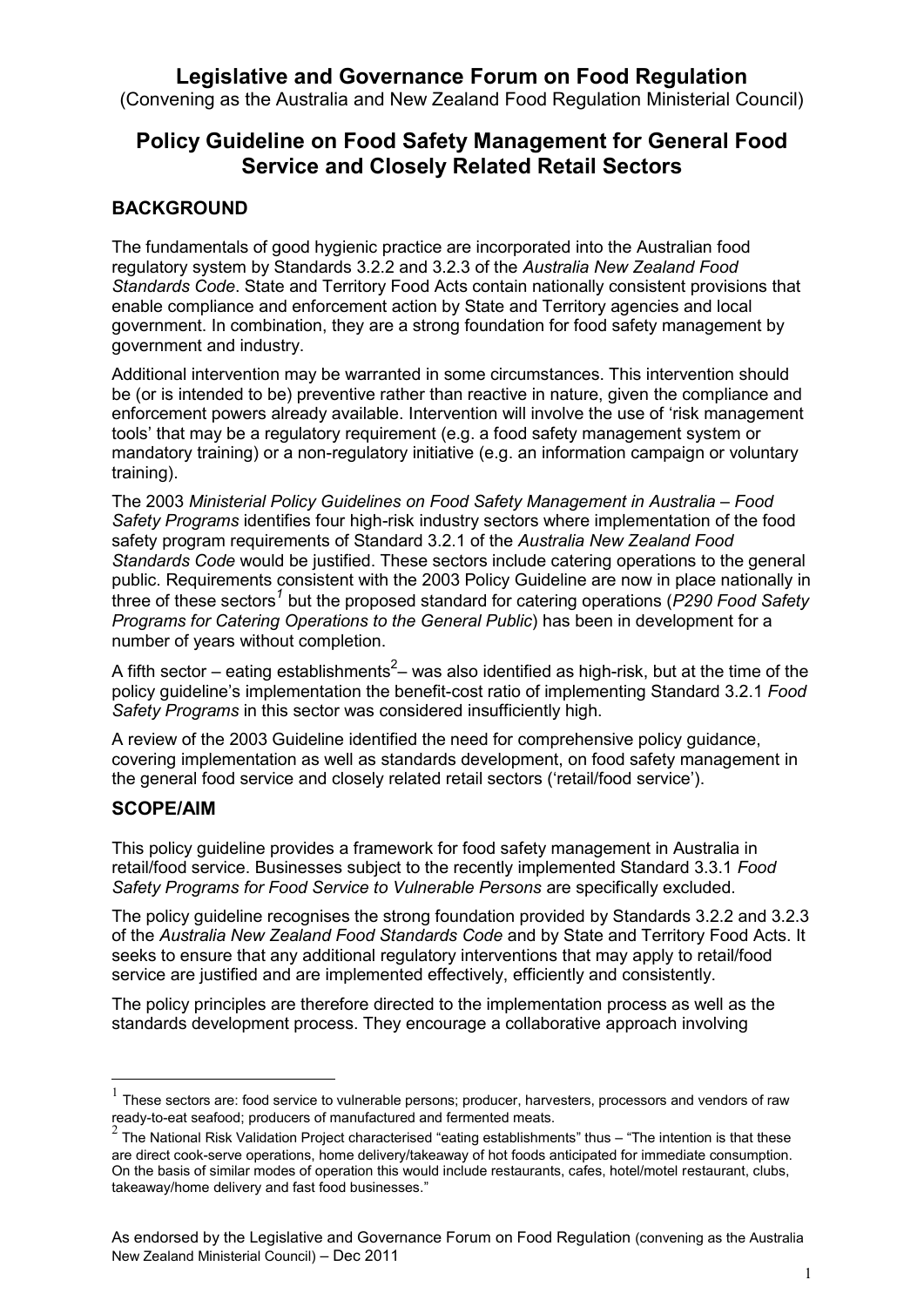# **Legislative and Governance Forum on Food Regulation**

(Convening as the Australia and New Zealand Food Regulation Ministerial Council)

# **Policy Guideline on Food Safety Management for General Food Service and Closely Related Retail Sectors**

## **BACKGROUND**

The fundamentals of good hygienic practice are incorporated into the Australian food regulatory system by Standards 3.2.2 and 3.2.3 of the *Australia New Zealand Food Standards Code*. State and Territory Food Acts contain nationally consistent provisions that enable compliance and enforcement action by State and Territory agencies and local government. In combination, they are a strong foundation for food safety management by government and industry.

Additional intervention may be warranted in some circumstances. This intervention should be (or is intended to be) preventive rather than reactive in nature, given the compliance and enforcement powers already available. Intervention will involve the use of 'risk management tools' that may be a regulatory requirement (e.g. a food safety management system or mandatory training) or a non-regulatory initiative (e.g. an information campaign or voluntary training).

The 2003 *Ministerial Policy Guidelines on Food Safety Management in Australia – Food Safety Programs* identifies four high-risk industry sectors where implementation of the food safety program requirements of Standard 3.2.1 of the *Australia New Zealand Food Standards Code* would be justified. These sectors include catering operations to the general public. Requirements consistent with the 2003 Policy Guideline are now in place nationally in three of these sectors<sup>1</sup> but the proposed standard for catering operations (*P290 Food Safety Programs for Catering Operations to the General Public*) has been in development for a number of years without completion.

A fifth sector – eating establishments<sup>2</sup>– was also identified as high-risk, but at the time of the policy guideline's implementation the benefit-cost ratio of implementing Standard 3.2.1 *Food Safety Programs* in this sector was considered insufficiently high.

A review of the 2003 Guideline identified the need for comprehensive policy guidance, covering implementation as well as standards development, on food safety management in the general food service and closely related retail sectors ('retail/food service').

### **SCOPE/AIM**

1

This policy guideline provides a framework for food safety management in Australia in retail/food service. Businesses subject to the recently implemented Standard 3.3.1 *Food Safety Programs for Food Service to Vulnerable Persons* are specifically excluded.

The policy guideline recognises the strong foundation provided by Standards 3.2.2 and 3.2.3 of the *Australia New Zealand Food Standards Code* and by State and Territory Food Acts. It seeks to ensure that any additional regulatory interventions that may apply to retail/food service are justified and are implemented effectively, efficiently and consistently.

The policy principles are therefore directed to the implementation process as well as the standards development process. They encourage a collaborative approach involving

<sup>1</sup> These sectors are: food service to vulnerable persons; producer, harvesters, processors and vendors of raw ready-to-eat seafood; producers of manufactured and fermented meats.

<sup>2</sup> The National Risk Validation Project characterised "eating establishments" thus – "The intention is that these are direct cook-serve operations, home delivery/takeaway of hot foods anticipated for immediate consumption. On the basis of similar modes of operation this would include restaurants, cafes, hotel/motel restaurant, clubs, takeaway/home delivery and fast food businesses."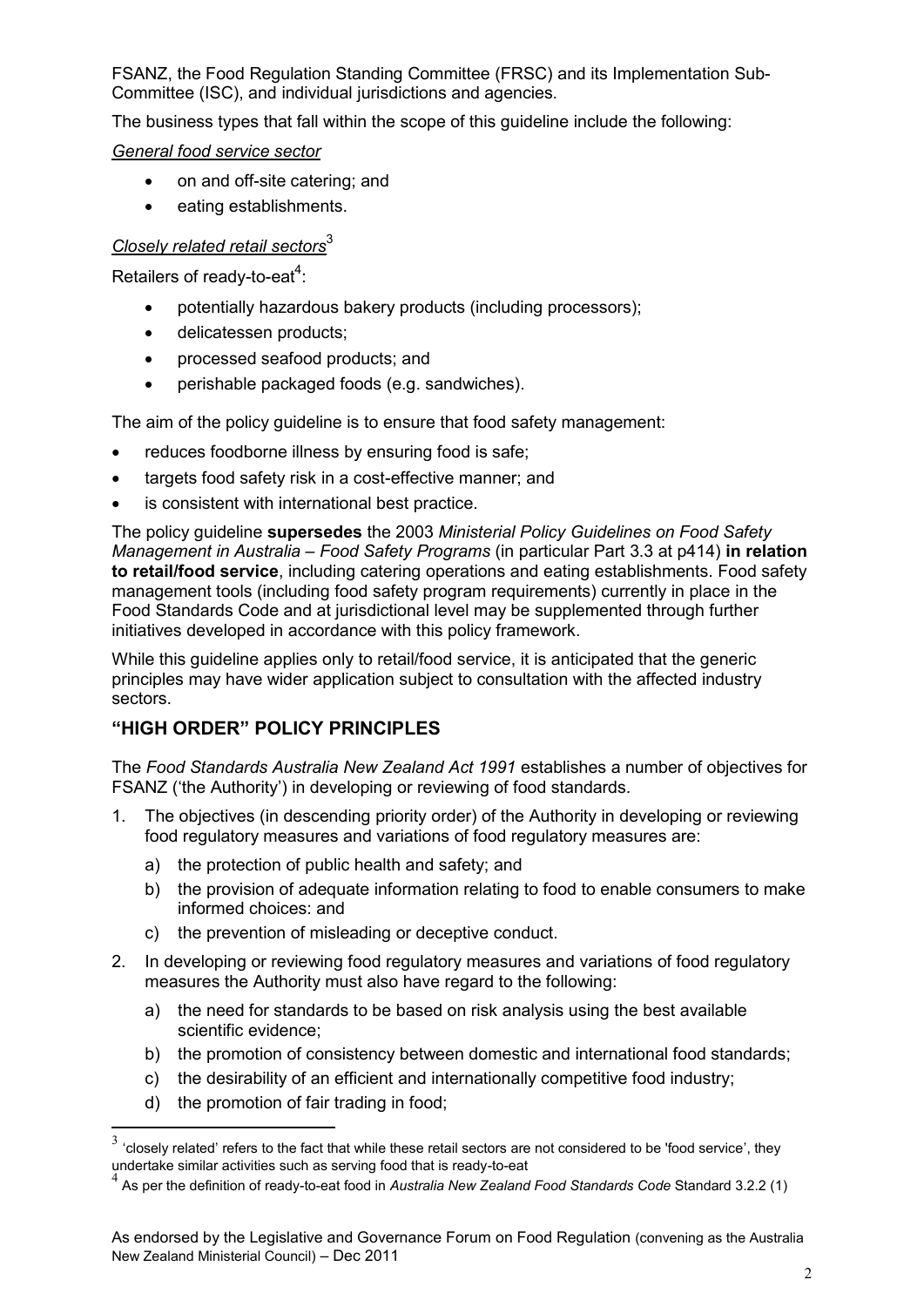FSANZ, the Food Regulation Standing Committee (FRSC) and its Implementation Sub-Committee (ISC), and individual jurisdictions and agencies.

The business types that fall within the scope of this guideline include the following:

#### *General food service sector*

- on and off-site catering; and
- eating establishments.

### *Closely related retail sectors*<sup>3</sup>

Retailers of ready-to-eat $4$ :

- potentially hazardous bakery products (including processors);
- delicatessen products;
- processed seafood products; and
- perishable packaged foods (e.g. sandwiches).

The aim of the policy guideline is to ensure that food safety management:

- reduces foodborne illness by ensuring food is safe;
- targets food safety risk in a cost-effective manner; and
- is consistent with international best practice.

The policy guideline **supersedes** the 2003 *Ministerial Policy Guidelines on Food Safety Management in Australia – Food Safety Programs* (in particular Part 3.3 at p414) **in relation to retail/food service**, including catering operations and eating establishments. Food safety management tools (including food safety program requirements) currently in place in the Food Standards Code and at jurisdictional level may be supplemented through further initiatives developed in accordance with this policy framework.

While this guideline applies only to retail/food service, it is anticipated that the generic principles may have wider application subject to consultation with the affected industry sectors.

## **"HIGH ORDER" POLICY PRINCIPLES**

The *Food Standards Australia New Zealand Act 1991* establishes a number of objectives for FSANZ ('the Authority') in developing or reviewing of food standards.

- 1. The objectives (in descending priority order) of the Authority in developing or reviewing food regulatory measures and variations of food regulatory measures are:
	- a) the protection of public health and safety; and
	- b) the provision of adequate information relating to food to enable consumers to make informed choices: and
	- c) the prevention of misleading or deceptive conduct.
- 2. In developing or reviewing food regulatory measures and variations of food regulatory measures the Authority must also have regard to the following:
	- a) the need for standards to be based on risk analysis using the best available scientific evidence;
	- b) the promotion of consistency between domestic and international food standards;
	- c) the desirability of an efficient and internationally competitive food industry;
	- d) the promotion of fair trading in food;

1

 $3$  'closely related' refers to the fact that while these retail sectors are not considered to be 'food service', they undertake similar activities such as serving food that is ready-to-eat

<sup>4</sup> As per the definition of ready-to-eat food in *Australia New Zealand Food Standards Code* Standard 3.2.2 (1)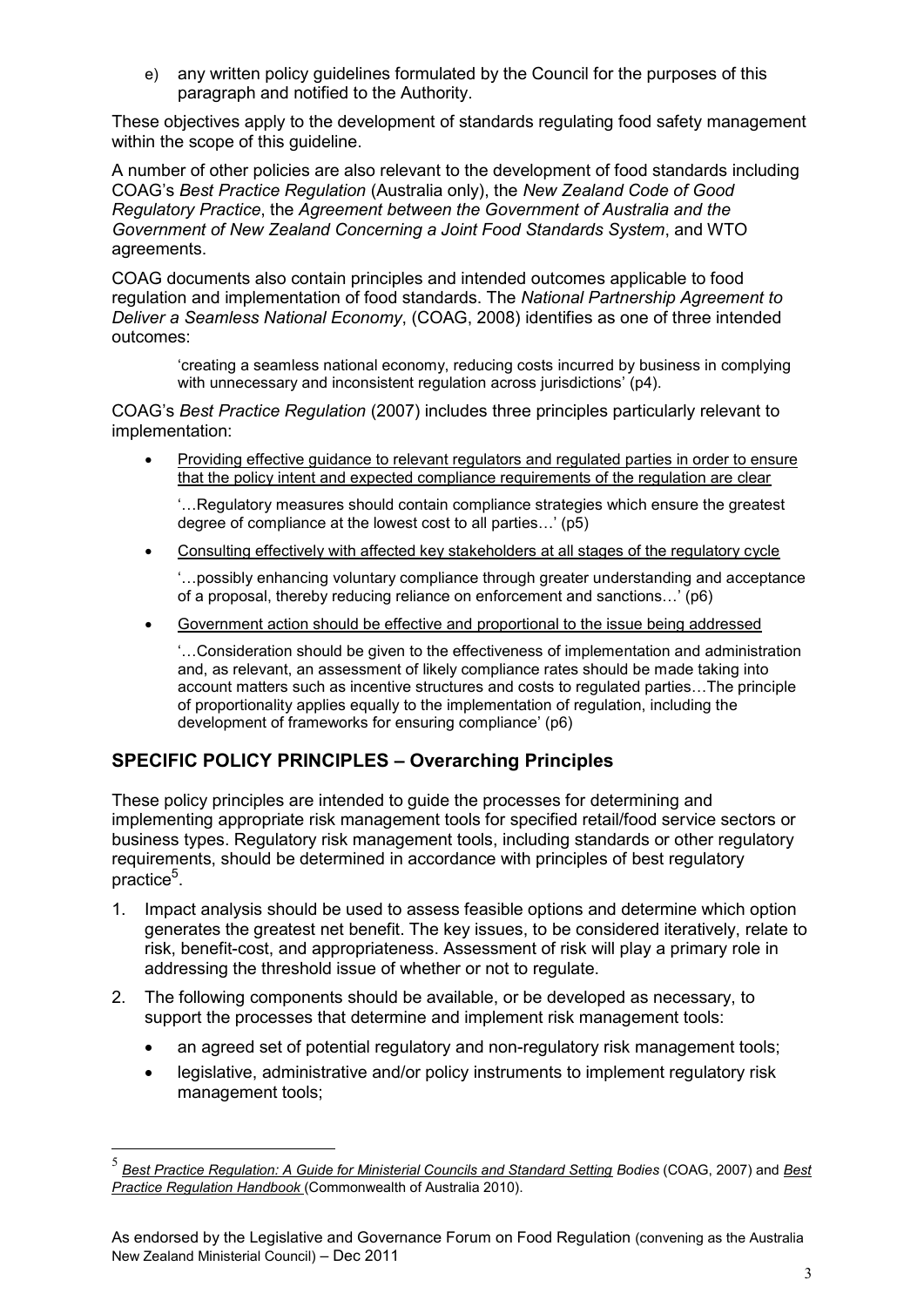e) any written policy guidelines formulated by the Council for the purposes of this paragraph and notified to the Authority.

These objectives apply to the development of standards regulating food safety management within the scope of this guideline.

A number of other policies are also relevant to the development of food standards including COAG's *Best Practice Regulation* (Australia only), the *New Zealand Code of Good Regulatory Practice*, the *Agreement between the Government of Australia and the Government of New Zealand Concerning a Joint Food Standards System*, and WTO agreements.

COAG documents also contain principles and intended outcomes applicable to food regulation and implementation of food standards. The *National Partnership Agreement to Deliver a Seamless National Economy*, (COAG, 2008) identifies as one of three intended outcomes:

'creating a seamless national economy, reducing costs incurred by business in complying with unnecessary and inconsistent regulation across jurisdictions' (p4).

COAG's *Best Practice Regulation* (2007) includes three principles particularly relevant to implementation:

 Providing effective guidance to relevant regulators and regulated parties in order to ensure that the policy intent and expected compliance requirements of the regulation are clear

'…Regulatory measures should contain compliance strategies which ensure the greatest degree of compliance at the lowest cost to all parties…' (p5)

Consulting effectively with affected key stakeholders at all stages of the regulatory cycle

'…possibly enhancing voluntary compliance through greater understanding and acceptance of a proposal, thereby reducing reliance on enforcement and sanctions…' (p6)

Government action should be effective and proportional to the issue being addressed

'…Consideration should be given to the effectiveness of implementation and administration and, as relevant, an assessment of likely compliance rates should be made taking into account matters such as incentive structures and costs to regulated parties…The principle of proportionality applies equally to the implementation of regulation, including the development of frameworks for ensuring compliance' (p6)

## **SPECIFIC POLICY PRINCIPLES – Overarching Principles**

<u>.</u>

These policy principles are intended to guide the processes for determining and implementing appropriate risk management tools for specified retail/food service sectors or business types. Regulatory risk management tools, including standards or other regulatory requirements, should be determined in accordance with principles of best regulatory practice<sup>5</sup>.

- 1. Impact analysis should be used to assess feasible options and determine which option generates the greatest net benefit. The key issues, to be considered iteratively, relate to risk, benefit-cost, and appropriateness. Assessment of risk will play a primary role in addressing the threshold issue of whether or not to regulate.
- 2. The following components should be available, or be developed as necessary, to support the processes that determine and implement risk management tools:
	- an agreed set of potential regulatory and non-regulatory risk management tools;
	- legislative, administrative and/or policy instruments to implement regulatory risk management tools;

<sup>5</sup> *Best Practice Regulation: A Guide for Ministerial Councils and Standard Setting Bodies* (COAG, 2007) and *Best Practice Regulation Handbook* (Commonwealth of Australia 2010).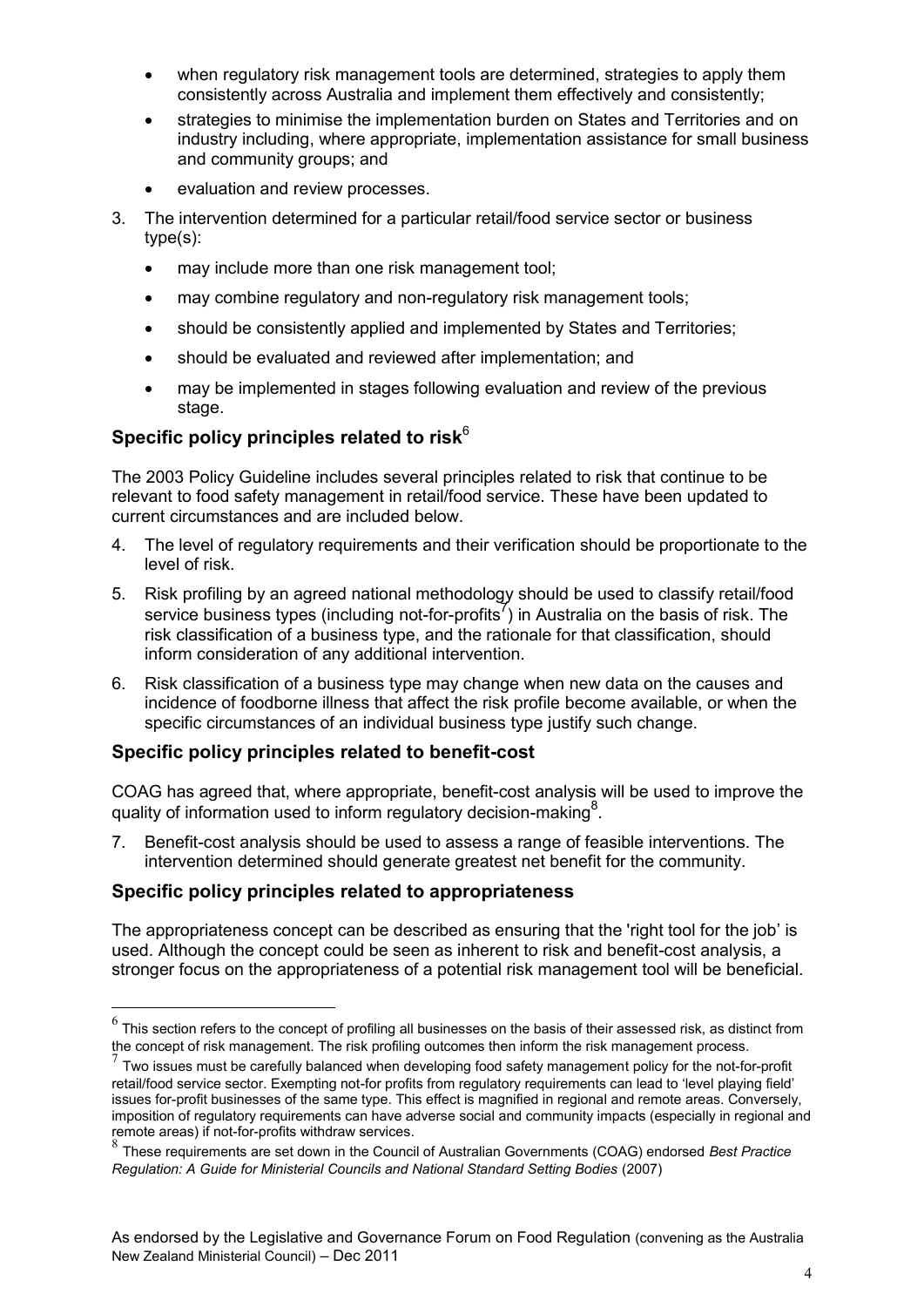- when regulatory risk management tools are determined, strategies to apply them consistently across Australia and implement them effectively and consistently;
- strategies to minimise the implementation burden on States and Territories and on industry including, where appropriate, implementation assistance for small business and community groups; and
- evaluation and review processes.
- 3. The intervention determined for a particular retail/food service sector or business type(s):
	- may include more than one risk management tool;
	- may combine regulatory and non-regulatory risk management tools;
	- should be consistently applied and implemented by States and Territories;
	- should be evaluated and reviewed after implementation; and
	- may be implemented in stages following evaluation and review of the previous stage.

# **Specific policy principles related to risk**<sup>6</sup>

The 2003 Policy Guideline includes several principles related to risk that continue to be relevant to food safety management in retail/food service. These have been updated to current circumstances and are included below.

- 4. The level of regulatory requirements and their verification should be proportionate to the level of risk.
- 5. Risk profiling by an agreed national methodology should be used to classify retail/food service business types (including not-for-profits<sup>7</sup>) in Australia on the basis of risk. The risk classification of a business type, and the rationale for that classification, should inform consideration of any additional intervention.
- 6. Risk classification of a business type may change when new data on the causes and incidence of foodborne illness that affect the risk profile become available, or when the specific circumstances of an individual business type justify such change.

#### **Specific policy principles related to benefit-cost**

COAG has agreed that, where appropriate, benefit-cost analysis will be used to improve the quality of information used to inform regulatory decision-making<sup>8</sup>.

7. Benefit-cost analysis should be used to assess a range of feasible interventions. The intervention determined should generate greatest net benefit for the community.

#### **Specific policy principles related to appropriateness**

1

The appropriateness concept can be described as ensuring that the 'right tool for the job' is used. Although the concept could be seen as inherent to risk and benefit-cost analysis, a stronger focus on the appropriateness of a potential risk management tool will be beneficial.

 $^6$  This section refers to the concept of profiling all businesses on the basis of their assessed risk, as distinct from the concept of risk management. The risk profiling outcomes then inform the risk management process.

 $\frac{7}{7}$  Two issues must be carefully balanced when developing food safety management policy for the not-for-profit retail/food service sector. Exempting not-for profits from regulatory requirements can lead to 'level playing field' issues for-profit businesses of the same type. This effect is magnified in regional and remote areas. Conversely, imposition of regulatory requirements can have adverse social and community impacts (especially in regional and remote areas) if not-for-profits withdraw services.

<sup>8</sup> These requirements are set down in the Council of Australian Governments (COAG) endorsed *Best Practice Regulation: A Guide for Ministerial Councils and National Standard Setting Bodies* (2007)